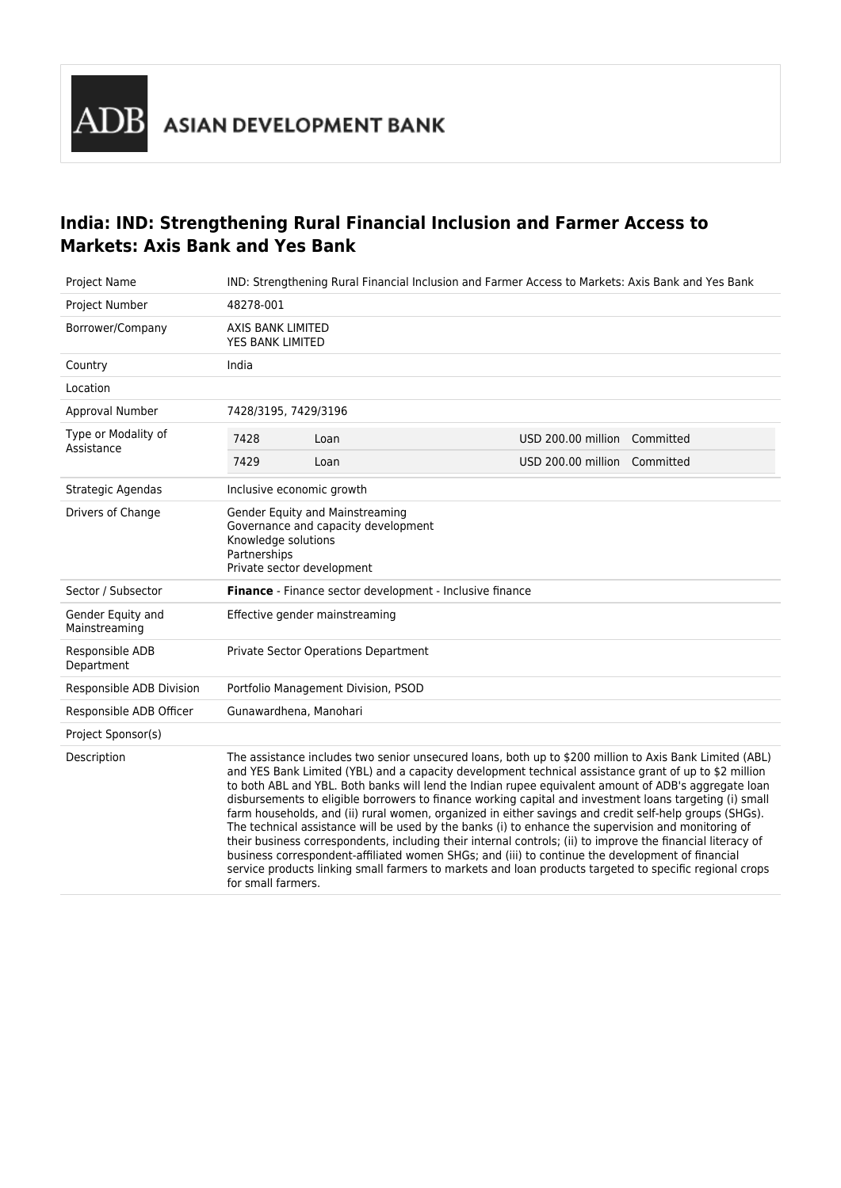## **India: IND: Strengthening Rural Financial Inclusion and Farmer Access to Markets: Axis Bank and Yes Bank**

| <b>Project Name</b>                | IND: Strengthening Rural Financial Inclusion and Farmer Access to Markets: Axis Bank and Yes Bank                                                                                                                                                                                                                                                                                                                                                                                                                                                                                                                                                                                                                                                                                                                                                                                                                                                                                                        |      |                              |  |
|------------------------------------|----------------------------------------------------------------------------------------------------------------------------------------------------------------------------------------------------------------------------------------------------------------------------------------------------------------------------------------------------------------------------------------------------------------------------------------------------------------------------------------------------------------------------------------------------------------------------------------------------------------------------------------------------------------------------------------------------------------------------------------------------------------------------------------------------------------------------------------------------------------------------------------------------------------------------------------------------------------------------------------------------------|------|------------------------------|--|
| Project Number                     | 48278-001                                                                                                                                                                                                                                                                                                                                                                                                                                                                                                                                                                                                                                                                                                                                                                                                                                                                                                                                                                                                |      |                              |  |
| Borrower/Company                   | AXIS BANK LIMITED<br>YES BANK LIMITED                                                                                                                                                                                                                                                                                                                                                                                                                                                                                                                                                                                                                                                                                                                                                                                                                                                                                                                                                                    |      |                              |  |
| Country                            | India                                                                                                                                                                                                                                                                                                                                                                                                                                                                                                                                                                                                                                                                                                                                                                                                                                                                                                                                                                                                    |      |                              |  |
| Location                           |                                                                                                                                                                                                                                                                                                                                                                                                                                                                                                                                                                                                                                                                                                                                                                                                                                                                                                                                                                                                          |      |                              |  |
| Approval Number                    | 7428/3195, 7429/3196                                                                                                                                                                                                                                                                                                                                                                                                                                                                                                                                                                                                                                                                                                                                                                                                                                                                                                                                                                                     |      |                              |  |
| Type or Modality of<br>Assistance  | 7428                                                                                                                                                                                                                                                                                                                                                                                                                                                                                                                                                                                                                                                                                                                                                                                                                                                                                                                                                                                                     | Loan | USD 200.00 million Committed |  |
|                                    | 7429                                                                                                                                                                                                                                                                                                                                                                                                                                                                                                                                                                                                                                                                                                                                                                                                                                                                                                                                                                                                     | Loan | USD 200.00 million Committed |  |
| Strategic Agendas                  | Inclusive economic growth                                                                                                                                                                                                                                                                                                                                                                                                                                                                                                                                                                                                                                                                                                                                                                                                                                                                                                                                                                                |      |                              |  |
| Drivers of Change                  | Gender Equity and Mainstreaming<br>Governance and capacity development<br>Knowledge solutions<br>Partnerships<br>Private sector development                                                                                                                                                                                                                                                                                                                                                                                                                                                                                                                                                                                                                                                                                                                                                                                                                                                              |      |                              |  |
| Sector / Subsector                 | <b>Finance</b> - Finance sector development - Inclusive finance                                                                                                                                                                                                                                                                                                                                                                                                                                                                                                                                                                                                                                                                                                                                                                                                                                                                                                                                          |      |                              |  |
| Gender Equity and<br>Mainstreaming | Effective gender mainstreaming                                                                                                                                                                                                                                                                                                                                                                                                                                                                                                                                                                                                                                                                                                                                                                                                                                                                                                                                                                           |      |                              |  |
| Responsible ADB<br>Department      | Private Sector Operations Department                                                                                                                                                                                                                                                                                                                                                                                                                                                                                                                                                                                                                                                                                                                                                                                                                                                                                                                                                                     |      |                              |  |
| Responsible ADB Division           | Portfolio Management Division, PSOD                                                                                                                                                                                                                                                                                                                                                                                                                                                                                                                                                                                                                                                                                                                                                                                                                                                                                                                                                                      |      |                              |  |
| Responsible ADB Officer            | Gunawardhena, Manohari                                                                                                                                                                                                                                                                                                                                                                                                                                                                                                                                                                                                                                                                                                                                                                                                                                                                                                                                                                                   |      |                              |  |
| Project Sponsor(s)                 |                                                                                                                                                                                                                                                                                                                                                                                                                                                                                                                                                                                                                                                                                                                                                                                                                                                                                                                                                                                                          |      |                              |  |
| Description                        | The assistance includes two senior unsecured loans, both up to \$200 million to Axis Bank Limited (ABL)<br>and YES Bank Limited (YBL) and a capacity development technical assistance grant of up to \$2 million<br>to both ABL and YBL. Both banks will lend the Indian rupee equivalent amount of ADB's aggregate loan<br>disbursements to eligible borrowers to finance working capital and investment loans targeting (i) small<br>farm households, and (ii) rural women, organized in either savings and credit self-help groups (SHGs).<br>The technical assistance will be used by the banks (i) to enhance the supervision and monitoring of<br>their business correspondents, including their internal controls; (ii) to improve the financial literacy of<br>business correspondent-affiliated women SHGs; and (iii) to continue the development of financial<br>service products linking small farmers to markets and loan products targeted to specific regional crops<br>for small farmers. |      |                              |  |